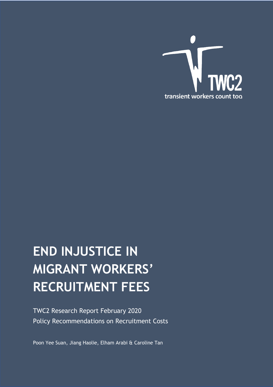

# **END INJUSTICE IN MIGRANT WORKERS' RECRUITMENT FEES**

TWC2 Research Report February 2020 Policy Recommendations on Recruitment Costs

<span id="page-0-0"></span>Poon Yee Suan, Jiang Haolie, Elham Arabi & Caroline Tan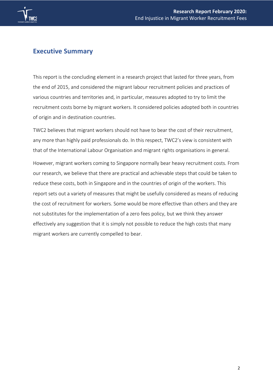

### **Executive Summary**

This report is the concluding element in a research project that lasted for three years, from the end of 2015, and considered the migrant labour recruitment policies and practices of various countries and territories and, in particular, measures adopted to try to limit the recruitment costs borne by migrant workers. It considered policies adopted both in countries of origin and in destination countries.

TWC2 believes that migrant workers should not have to bear the cost of their recruitment, any more than highly paid professionals do. In this respect, TWC2's view is consistent with that of the International Labour Organisation and migrant rights organisations in general. However, migrant workers coming to Singapore normally bear heavy recruitment costs. From our research, we believe that there are practical and achievable steps that could be taken to reduce these costs, both in Singapore and in the countries of origin of the workers. This report sets out a variety of measures that might be usefully considered as means of reducing the cost of recruitment for workers. Some would be more effective than others and they are not substitutes for the implementation of a zero fees policy, but we think they answer effectively any suggestion that it is simply not possible to reduce the high costs that many migrant workers are currently compelled to bear.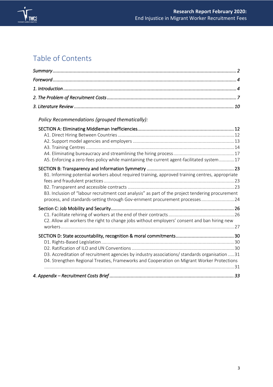

### Table of Contents

<span id="page-2-0"></span>

| Policy Recommendations (grouped thematically):                                                                                                                                                                                                                                    |  |
|-----------------------------------------------------------------------------------------------------------------------------------------------------------------------------------------------------------------------------------------------------------------------------------|--|
| A5. Enforcing a zero-fees policy while maintaining the current agent-facilitated system 17                                                                                                                                                                                        |  |
| B1. Informing potential workers about required training, approved training centres, appropriate<br>B3. Inclusion of "labour recruitment cost analysis" as part of the project tendering procurement<br>process, and standards-setting through Gov-ernment procurement processes24 |  |
| C2. Allow all workers the right to change jobs without employers' consent and ban hiring new                                                                                                                                                                                      |  |
| D3. Accreditation of recruitment agencies by industry associations/ standards organisation  31<br>D4. Strengthen Regional Treaties, Frameworks and Cooperation on Migrant Worker Protections                                                                                      |  |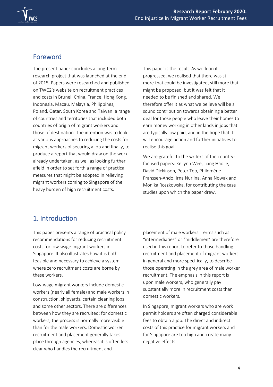

### Foreword

The present paper concludes a long-term research project that was launched at the end of 2015. Papers were researched and published on TWC2's website on recruitment practices and costs in Brunei, China, France, Hong Kong, Indonesia, Macau, Malaysia, Philippines, Poland, Qatar, South Korea and Taiwan: a range of countries and territories that included both countries of origin of migrant workers and those of destination. The intention was to look at various approaches to reducing the costs for migrant workers of securing a job and finally, to produce a report that would draw on the work already undertaken, as well as looking further afield in order to set forth a range of practical measures that might be adopted in relieving migrant workers coming to Singapore of the heavy burden of high recruitment costs.

This paper is the result. As work on it progressed, we realised that there was still more that could be investigated, still more that might be proposed, but it was felt that it needed to be finished and shared. We therefore offer it as what we believe will be a sound contribution towards obtaining a better deal for those people who leave their homes to earn money working in other lands in jobs that are typically low paid, and in the hope that it will encourage action and further initiatives to realise this goal.

We are grateful to the writers of the countryfocused papers: Kellynn Wee, Jiang Haolie, David Dickinson, Peter Teo, Philomène Franssen-Ando, Irna Nurlina, Anna Nowak and Monika Roszkowska, for contributing the case studies upon which the paper drew.

### <span id="page-3-0"></span>1. Introduction

This paper presents a range of practical policy recommendations for reducing recruitment costs for low-wage migrant workers in Singapore. It also illustrates how it is both feasible and necessary to achieve a system where zero recruitment costs are borne by these workers.

Low-wage migrant workers include domestic workers (nearly all female) and male workers in construction, shipyards, certain cleaning jobs and some other sectors. There are differences between how they are recruited: for domestic workers, the process is normally more visible than for the male workers. Domestic worker recruitment and placement generally takes place through agencies, whereas it is often less clear who handles the recruitment and

placement of male workers. Terms such as "intermediaries" or "middlemen" are therefore used in this report to refer to those handling recruitment and placement of migrant workers in general and more specifically, to describe those operating in the grey area of male worker recruitment. The emphasis in this report is upon male workers, who generally pay substantially more in recruitment costs than domestic workers.

In Singapore, migrant workers who are work permit holders are often charged considerable fees to obtain a job. The direct and indirect costs of this practice for migrant workers and for Singapore are too high and create many negative effects.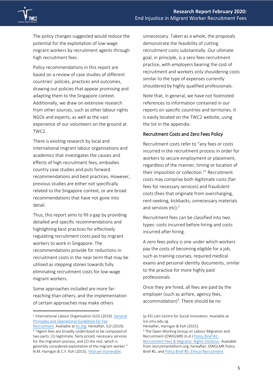The policy changes suggested would reduce the potential for the exploitation of low-wage migrant workers by recruitment agents through high recruitment fees.

Policy recommendations in this report are based on a review of case studies of different countries' policies, practices and outcomes, drawing out policies that appear promising and adapting them to the Singapore context. Additionally, we draw on extensive research from other sources, such as other labour rights NGOs and experts, as well as the vast experience of our volunteers on the ground at TWC2.

There is existing research by local and international migrant labour organisations and academics that investigates the causes and effects of high recruitment fees, embodies country case studies and puts forward recommendations and best practices. However, previous studies are either not specifically related to the Singapore context, or are broad recommendations that have not gone into detail.

Thus, this report aims to fill a gap by providing detailed and specific recommendations and highlighting best practices for effectively regulating recruitment costs paid by migrant workers to work in Singapore. The recommendations provide for reductions in recruitment costs in the near term that may be utilised as stepping stones towards fully eliminating recruitment costs for low-wage migrant workers.

Some approaches included are more farreaching than others, and the implementation of certain approaches may make others

unnecessary. Taken as a whole, the proposals demonstrate the feasibility of cutting recruitment costs substantially. Our ultimate goal, in principle, is a zero fees recruitment practice, with employers bearing the cost of recruitment and workers only shouldering costs similar to the type of expenses currently shouldered by highly qualified professionals.

Note that, in general, we have not footnoted references to information contained in our reports on specific countries and territories. It is easily located on the TWC2 website, using the list in the appendix.

#### Recruitment Costs and Zero Fees Policy

Recruitment costs refer to "any fees or costs incurred in the recruitment process in order for workers to secure employment or placement, regardless of the manner, timing or location of their imposition or collection."<sup>1</sup> Recruitment costs may comprise both legitimate costs (fair fees for necessary services) and fraudulent costs (fees that originate from overcharging, rent-seeking, kickbacks, unnecessary materials and services etc).<sup>2</sup>

Recruitment fees can be classified into two types: costs incurred before hiring and costs incurred after hiring.

A zero fees policy is one under which workers pay the costs of becoming eligible for a job, such as training courses, required medical exams and personal identity documents, similar to the practice for more highly paid professionals.

Once they are hired, all fees are paid by the employer (such as airfare, agency fees, accommodation)<sup>3</sup>. There should be no

<sup>&</sup>lt;sup>1</sup> International Labour Organisation (ILO) (2019). General [Principles and Operational Guidelines for Fair](https://www.ilo.org/global/topics/fair-recruitment/WCMS_536755/lang--en/index.htm)  [Recruitment.](https://www.ilo.org/global/topics/fair-recruitment/WCMS_536755/lang--en/index.htm) Available a[t ilo.org.](file:///C:/Users/phiye/AppData/Roaming/Microsoft/Word/ilo.org) Hereafter, ILO (2019). <sup>2</sup> "Agent fees are broadly understood to be composed of two parts: (1) legitimate, fairly priced, necessary services for the migration process, and (2) the rest, which is generally considered exploitative of the migrant worker." N.M. Harrigan & C.Y. Koh (2015)[. Vital yet Vulnerable.](https://lcsi.smu.edu.sg/research/vital-yet-vulnerable-migrant-workers-singapore)

<sup>(</sup>p.45) Lien Centre for Social Innovation. Available at lcsi.smu.edu.sg.

Hereafter, Harrigan & Koh (2015).

<sup>&</sup>lt;sup>3</sup> The Open Working Group on Labour Migration and Recruitment (OWGLMR) (n.d.) [Policy Brief #1:](http://recruitmentreform.org/zero-fees-for-migrant-workers/)  Recruit[ment Fees & Migrants' Rights Violation](http://recruitmentreform.org/zero-fees-for-migrant-workers/). Available from recruitmenteform.org; hereafter, OWGLMR Policy Brief #1; and [Policy Brief #5: Ethical Recruitment.](http://www.madenetwork.org/sites/default/files/Ethical%20Recruitment%20-%20Layout%20v.1.pdf)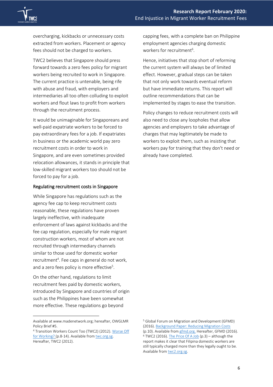

overcharging, kickbacks or unnecessary costs extracted from workers. Placement or agency fees should not be charged to workers.

TWC2 believes that Singapore should press forward towards a zero fees policy for migrant workers being recruited to work in Singapore. The current practice is untenable, being rife with abuse and fraud, with employers and intermediaries all too often colluding to exploit workers and flout laws to profit from workers through the recruitment process.

It would be unimaginable for Singaporeans and well-paid expatriate workers to be forced to pay extraordinary fees for a job. If expatriates in business or the academic world pay zero recruitment costs in order to work in Singapore, and are even sometimes provided relocation allowances, it stands in principle that low-skilled migrant workers too should not be forced to pay for a job.

#### Regulating recruitment costs in Singapore

While Singapore has regulations such as the agency fee cap to keep recruitment costs reasonable, these regulations have proven largely ineffective, with inadequate enforcement of laws against kickbacks and the fee cap regulation, especially for male migrant construction workers, most of whom are not recruited through intermediary channels similar to those used for domestic worker recruitment<sup>4</sup>. Fee caps in general do not work, and a zero fees policy is more effective<sup>5</sup>.

On the other hand, regulations to limit recruitment fees paid by domestic workers, introduced by Singapore and countries of origin such as the Philippines have been somewhat more effective. These regulations go beyond

capping fees, with a complete ban on Philippine employment agencies charging domestic workers for recruitment<sup>6</sup>.

Hence, initiatives that stop short of reforming the current system will always be of limited effect. However, gradual steps can be taken that not only work towards eventual reform but have immediate returns. This report will outline recommendations that can be implemented by stages to ease the transition.

Policy changes to reduce recruitment costs will also need to close any loopholes that allow agencies and employers to take advantage of charges that may legitimately be made to workers to exploit them, such as insisting that workers pay for training that they don't need or already have completed.

Available at www.madenetwork.org; hereafter, OWGLMR Policy Brief #5.

<sup>4</sup> Transition Workers Count Too (TWC2) (2012)[. Worse Off](http://twc2.org.sg/wp-content/uploads/2012/08/Worse-off-for-working_initial-report_v2.pdf)  [for Working?](http://twc2.org.sg/wp-content/uploads/2012/08/Worse-off-for-working_initial-report_v2.pdf) (p.8-14). Available from twc.org.sg. Hereafter, TWC2 (2012).

<sup>5</sup> Global Forum on Migration and Development (GFMD) (2016)[. Background Paper: Reducing Migration Costs](https://gfmd.org/files/documents/gfmd_2016_roundtable_1.1_background_paper_reducing_migration_costs.pdf) (p.10). Available fro[m gfmd.org.](file:///C:/Users/phiye/AppData/Roaming/Microsoft/Word/gfmd.org) Hereafter, GFMD (2016).  $6$  TWC2 (2016)[. The Price Of A Job](http://twc2.org.sg/wp-content/uploads/2016/10/the_price_of_a_job_2016.pdf) (p.3) – although the report makes it clear that Filipina domestic workers are still typically charged more than they legally ought to be. Available from [twc2.org.sg.](file:///C:/Users/phiye/AppData/Roaming/Microsoft/Word/twc2.org.sg)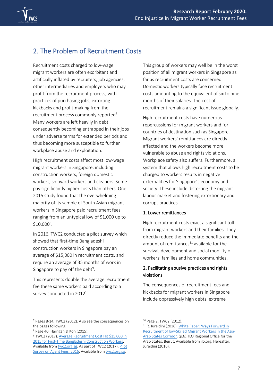

### <span id="page-6-0"></span>2. The Problem of Recruitment Costs

Recruitment costs charged to low-wage migrant workers are often exorbitant and artificially inflated by recruiters, job agencies, other intermediaries and employers who may profit from the recruitment process, with practices of purchasing jobs, extorting kickbacks and profit-making from the recruitment process commonly reported<sup>7</sup>. Many workers are left heavily in debt, consequently becoming entrapped in their jobs under adverse terms for extended periods and thus becoming more susceptible to further workplace abuse and exploitation.

High recruitment costs affect most low-wage migrant workers in Singapore, including construction workers, foreign domestic workers, shipyard workers and cleaners. Some pay significantly higher costs than others. One 2015 study found that the overwhelming majority of its sample of South Asian migrant workers in Singapore paid recruitment fees, ranging from an untypical low of \$1,000 up to  $$10,000^8$ .

In 2016, TWC2 conducted a pilot survey which showed that first-time Bangladeshi construction workers in Singapore pay an average of \$15,000 in recruitment costs, and require an average of 35 months of work in Singapore to pay off the debt<sup>9</sup>.

This represents double the average recruitment fee these same workers paid according to a survey conducted in 2012 $^{10}$ .

This group of workers may well be in the worst position of all migrant workers in Singapore as far as recruitment costs are concerned. Domestic workers typically face recruitment costs amounting to the equivalent of six to nine months of their salaries. The cost of recruitment remains a significant issue globally.

High recruitment costs have numerous repercussions for migrant workers and for countries of destination such as Singapore. Migrant workers' remittances are directly affected and the workers become more vulnerable to abuse and rights violations. Workplace safety also suffers. Furthermore, a system that allows high recruitment costs to be charged to workers results in negative externalities for Singapore's economy and society. These include distorting the migrant labour market and fostering extortionary and corrupt practices.

#### 1. Lower remittances

High recruitment costs exact a significant toll from migrant workers and their families. They directly reduce the immediate benefits and the amount of remittances $^{11}$  available for the survival, development and social mobility of workers' families and home communities.

#### 2. Facilitating abusive practices and rights violations

The consequences of recruitment fees and kickbacks for migrant workers in Singapore include oppressively high debts, extreme

<sup>7</sup> Pages 8-14, TWC2 (2012). Also see the consequences on the pages following.

<sup>8</sup> Page 40, Harrigan & Koh (2015).

<sup>&</sup>lt;sup>9</sup> TWC2 (2017). Average Recruitment Cost Hit \$15,000 in [2015 for First-Time Bangladeshi Construction Workers.](https://twc2.org.sg/2017/02/05/average-recruitment-cost-hit-15000-in-2015-for-first-time-bangladeshi-construction-workers/) Available fro[m twc2.org.sg.](file:///C:/Users/phiye/AppData/Roaming/Microsoft/Word/twc.org.sg) As part of TWC2 (2017). Pilot [Survey on Agent Fees, 2016.](http://twc2.org.sg/wp-content/uploads/2016/12/pilot_survey_agent_fees_2016.pdf) Available fro[m twc2.org.sg.](file:///C:/Users/phiye/AppData/Roaming/Microsoft/Word/twc.org.sg)

<sup>10</sup> Page 2, TWC2 (2012).

<sup>11</sup> R. Jureidini (2016). [White Paper: Ways Forward in](http://www.ilo.org/wcmsp5/groups/public/---arabstates/---ro-beirut/documents/publication/wcms_519913.pdf)  [Recruitment of low-Skilled Migrant Workers in the Asia-](http://www.ilo.org/wcmsp5/groups/public/---arabstates/---ro-beirut/documents/publication/wcms_519913.pdf)[Arab States Corridor.](http://www.ilo.org/wcmsp5/groups/public/---arabstates/---ro-beirut/documents/publication/wcms_519913.pdf) (p.6). ILO Regional Office for the Arab States, Beirut. Available from ilo.org. Hereafter, Jureidini (2016).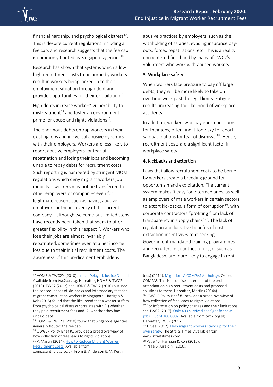financial hardship, and psychological distress $^{12}$ . This is despite current regulations including a fee cap, and research suggests that the fee cap is commonly flouted by Singapore agencies $^{13}$ .

Research has shown that systems which allow high recruitment costs to be borne by workers result in workers being locked-in to their employment situation through debt and provide opportunities for their exploitation $^{14}$ .

High debts increase workers' vulnerability to mistreatment <sup>15</sup> and foster an environment prime for abuse and rights violations<sup>16</sup>.

The enormous debts entrap workers in their existing jobs and in cyclical abusive dynamics with their employers. Workers are less likely to report abusive employers for fear of repatriation and losing their jobs and becoming unable to repay debts for recruitment costs. Such reporting is hampered by stringent MOM regulations which deny migrant workers job mobility – workers may not be transferred to other employers or companies even for legitimate reasons such as having abusive employers or the insolvency of the current company – although welcome but limited steps have recently been taken that seem to offer greater flexibility in this respect<sup>17</sup>. Workers who lose their jobs are almost invariably repatriated, sometimes even at a net income loss due to their initial recruitment costs. The awareness of this predicament emboldens

<sup>12</sup> HOME & TWC2's (2010) [Justice Delayed, Justice Denied.](http://twc2.org.sg/wp-content/uploads/2013/09/Justice-Delayed-Justice-Denied-ver2.pdf)  Available from twc2.org.sg. Hereafter, HOME & TWC2 (2010). TWC2 (2012) and HOME & TWC2 (2010) outlined the consequences of kickbacks and intermediary fees for migrant construction workers in Singapore. Harrigan & Koh (2015) found that the likelihood that a worker suffers from psychological distress correlates with (1) whether they paid recruitment fees and (2) whether they had unpaid debt.

abusive practices by employers, such as the withholding of salaries, evading insurance payouts, forced repatriations, etc. This is a reality encountered first-hand by many of TWC2's volunteers who work with abused workers.

#### 3. Workplace safety

When workers face pressure to pay off large debts, they will be more likely to take on overtime work past the legal limits. Fatigue results, increasing the likelihood of workplace accidents.

In addition, workers who pay enormous sums for their jobs, often find it too risky to report safety violations for fear of dismissal $18$ . Hence, recruitment costs are a significant factor in workplace safety.

#### 4. Kickbacks and extortion

Laws that allow recruitment costs to be borne by workers create a breeding ground for opportunism and exploitation. The current system makes it easy for intermediaries, as well as employers of male workers in certain sectors to extort kickbacks, a form of corruption $19$ , with corporate contractors "profiting from lack of transparency in supply chains"<sup>20</sup>. The lack of regulation and lucrative benefits of costs extraction incentivises rent-seeking. Government-mandated training programmes and recruiters in countries of origin, such as Bangladesh, are more likely to engage in rent-

<sup>13</sup> HOME & TWC2's (2010) found that Singapore agencies generally flouted the fee cap.

<sup>14</sup> OWGLR Policy Brief #1 provides a broad overview of how collection of fees leads to rights violations. 15 P. Martin (2014). How to Reduce Migrant Worker [Recruitment Costs.](http://compasanthology.co.uk/wp-content/uploads/2014/02/Martin_COMPASMigrationAnthology.pdf) Available from

compasanthology.co.uk. From B. Anderson & M. Keith

<sup>(</sup>eds) (2014)[, Migration: A COMPAS Anthology,](https://www.compas.ox.ac.uk/2014/migration-the-compas-anthology/) Oxford: COMPAS. This is a concise statement of the problems attendant on high recruitment costs and proposed solutions to them. Hereafter, Martin (2014a). <sup>16</sup> OWGLR Policy Brief #1 provides a broad overview of how collection of fees leads to rights violations. <sup>17</sup> For information on policy changes and their limitations, see TWC2 (2017)[. Only 400 survived the fight for new](https://twc2.org.sg/2017/11/30/only-400-survived-the-fight-for-new-jobs-out-of-100000/)  [jobs. Out of 100,000?.](https://twc2.org.sg/2017/11/30/only-400-survived-the-fight-for-new-jobs-out-of-100000/) Available from twc2.org.sg. Hereafter, TWC2 (2017).

<sup>18</sup> J. Gee (2017)[. Help migrant workers stand up for their](https://www.straitstimes.com/opinion/help-migrant-workers-stand-up-for-their-own-safety)  [own safety.](https://www.straitstimes.com/opinion/help-migrant-workers-stand-up-for-their-own-safety) The Straits Times. Available from www.straitstimes.com.

<sup>19</sup> Page 45, Harrigan & Koh (2015).

<sup>20</sup> Page 6, Jureidini (2016).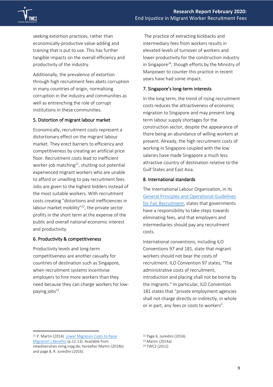seeking extortion practices, rather than economically-productive value-adding and training that is put to use. This has further tangible impacts on the overall efficiency and productivity of the industry.

Additionally, the prevalence of extortion through high recruitment fees abets corruption in many countries of origin, normalising corruption in the industry and communities as well as entrenching the role of corrupt institutions in these communities.

#### 5. Distortion of migrant labour market

Economically, recruitment costs represent a distortionary effect on the migrant labour market. They erect barriers to efficiency and competitiveness by creating an artificial price floor. Recruitment costs lead to inefficient worker-job matching $21$ , shutting out potential experienced migrant workers who are unable to afford or unwilling to pay recruitment fees. Jobs are given to the highest bidders instead of the most suitable workers. With recruitment costs creating "distortions and inefficiencies in labour market mobility"<sup>22</sup>, the private sector profits in the short term at the expense of the public and overall national economic interest and productivity.

#### 6. Productivity & competitiveness

Productivity levels and long-term competitiveness are another casualty for countries of destination such as Singapore, when recruitment systems incentivise employers to hire more workers than they need because they can charge workers for lowpaying jobs<sup>23</sup>.

The practice of extracting kickbacks and intermediary fees from workers results in elevated levels of turnover of workers and lower productivity for the construction industry in Singapore<sup>24</sup>, though efforts by the Ministry of Manpower to counter this practice in recent years have had some impact.

#### 7. Singapore's long-term interests

In the long term, the trend of rising recruitment costs reduces the attractiveness of economic migration to Singapore and may present long term labour supply shortages for the construction sector, despite the appearance of there being an abundance of willing workers at present. Already, the high recruitment costs of working in Singapore coupled with the low salaries have made Singapore a much less attractive country of destination relative to the Gulf States and East Asia.

#### 8. International standards

The International Labour Organization, in its [General Principles and Operational Guidelines](http://www.ilo.org/wcmsp5/groups/public/---ed_norm/---declaration/documents/publication/wcms_536755.pdf)  [for Fair Recruitment,](http://www.ilo.org/wcmsp5/groups/public/---ed_norm/---declaration/documents/publication/wcms_536755.pdf) states that governments have a responsibility to take steps towards eliminating fees, and that employers and intermediaries should pay any recruitment costs.

International conventions, including ILO Conventions 97 and 181, state that migrant workers should not bear the costs of recruitment. ILO Convention 97 states, "The administrative costs of recruitment, introduction and placing shall not be borne by the migrants." In particular, ILO Convention 181 states that "private employment agencies shall not charge directly or indirectly, in whole or in part, any fees or costs to workers".

<sup>21</sup> P. Martin (2014)[. Lower Migration Costs to Raise](http://newdiversities.mmg.mpg.de/wp-content/uploads/2015/01/2014_16-02_02_Martin.pdfhttp:/newdiversities.mmg.mpg.de/wp-content/uploads/2015/01/2014_16-02_02_Martin.pdf)  [Migration's Benefits](http://newdiversities.mmg.mpg.de/wp-content/uploads/2015/01/2014_16-02_02_Martin.pdfhttp:/newdiversities.mmg.mpg.de/wp-content/uploads/2015/01/2014_16-02_02_Martin.pdf).(p.12-13). Available from newdiversities.mmg.mpg.de; hereafter Martin (2014b) and page 8, R. Jureidini (2016).

<span id="page-8-0"></span><sup>22</sup> Page 6, Jureidini (2016).

<sup>23</sup> Martin (2014a)

<sup>24</sup> TWC2 (2012)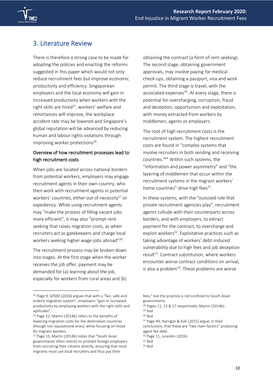### 3. Literature Review

There is therefore a strong case to be made for adopting the policies and enacting the reforms suggested in this paper which would not only reduce recruitment fees but improve economic productivity and efficiency. Singaporean employers and the local economy will gain in increased productivity when workers with the right skills are hired<sup>25</sup>, workers' welfare and remittances will improve, the workplace accident rate may be lowered and Singapore's global reputation will be advanced by reducing human and labour rights violations through improving worker protections<sup>26</sup>.

#### Overview of how recruitment processes lead to high recruitment costs

When jobs are located across national borders from potential workers, employers may engage recruitment agents in their own country, who then work with recruitment agents in potential workers' countries, either out of necessity $27$  or expediency. While using recruitment agents may "make the process of filling vacant jobs more efficient", it may also "prompt rentseeking that raises migration costs, as when recruiters act as gatekeepers and charge local workers seeking higher wage-jobs abroad"<sup>28</sup>.

The recruitment process may be broken down into stages. At the first stage when the worker receives the job offer, payment may be demanded for (a) learning about the job, especially for workers from rural areas and (b)

obtaining the contract (a form of rent-seeking). The second stage, obtaining government approvals, may involve paying for medical check-ups, obtaining a passport, visa and work permit. The third stage is travel, with the associated expenses<sup>29</sup>. At every stage, there is potential for overcharging, corruption, fraud and deception, opportunism and exploitation, with money extracted from workers by middlemen, agents or employers.

The root of high recruitment costs is the recruitment system. The highest recruitment costs are found in "complex systems that involve recruiters in both sending and receiving countries.<sup>30</sup>" Within such systems, the "information and power asymmetry" and "the layering of middlemen that occur within the recruitment systems in the migrant workers' home countries" drive high fees<sup>31</sup>.

In these systems, with the "outsized role that private recruitment agencies play", recruitment agents collude with their counterparts across borders, and with employers, to extract payment for the contract, to overcharge and exploit workers<sup>32</sup>. Exploitative practices such as taking advantage of workers' debt-induced vulnerability due to high fees and job deception result<sup>33</sup>. Contract substitution, where workers encounter worse contract conditions on arrival, is also a problem $34$ . These problems are worse

<sup>25</sup> Page 9, GFMD (2016) argues that with a "fair, safe and orderly migration system", employers "gain in increased productivity by employing workers with the right skills and aptitudes".

<sup>26</sup> Page 12, Martin (2014b) refers to the benefits of lowering migration costs for the destination countries (though not reputational ones), while focusing on those for migrant workers.

<sup>&</sup>lt;sup>27</sup> Page 15, Martin (2014b) notes that "South Asian governments often restrict or prohibit foreign employers from recruiting their citizens directly, ensuring that most migrants must use local recruiters and thus pay their

fees," but the practice is not confined to South Asian governments.

<sup>28</sup> Pages 11, 13 & 17 respectively, Martin (2014b). <sup>29</sup> Ibid

<sup>30</sup> Ibid

<sup>31</sup> Page 49, Harrigan & Koh (2015) argue, in their

conclusions, that these are "two main factors" producing agent fee debt.

<sup>32</sup> Page 11, Jureidini (2016)

<sup>33</sup> Ibid

<sup>34</sup> Ibid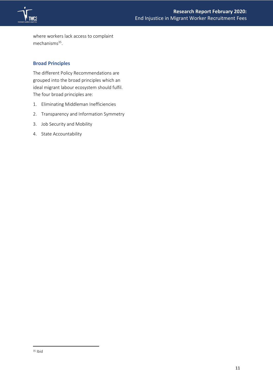

where workers lack access to complaint mechanisms<sup>35</sup>.

#### **Broad Principles**

The different Policy Recommendations are grouped into the broad principles which an ideal migrant labour ecosystem should fulfil. The four broad principles are:

- 1. Eliminating Middleman Inefficiencies
- 2. Transparency and Information Symmetry
- 3. Job Security and Mobility
- 4. State Accountability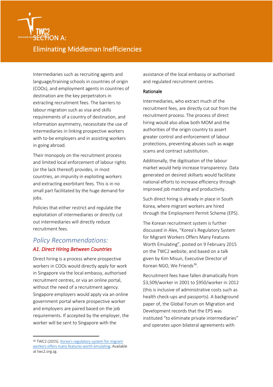

### <span id="page-11-0"></span>Eliminating Middleman Inefficiencies

Intermediaries such as recruiting agents and language/training schools in countries of origin (COOs), and employment agents in countries of destination are the key perpetrators in extracting recruitment fees. The barriers to labour migration such as visa and skills requirements of a country of destination, and information asymmetry, necessitate the use of intermediaries in linking prospective workers with to-be employers and in assisting workers in going abroad.

Their monopoly on the recruitment process and limited local enforcement of labour rights (or the lack thereof) provides, in most countries, an impunity in exploiting workers and extracting exorbitant fees. This is in no small part facilitated by the huge demand for jobs.

Policies that either restrict and regulate the exploitation of intermediaries or directly cut out intermediaries will directly reduce recruitment fees.

#### <span id="page-11-1"></span>*Policy Recommendations: A1. Direct Hiring Between Countries*

Direct hiring is a process where prospective workers in COOs would directly apply for work in Singapore via the local embassy, authorised recruitment centres, or via an online portal, without the need of a recruitment agency. Singapore employers would apply via an online government portal where prospective worker and employers are paired based on the job requirements. If accepted by the employer, the worker will be sent to Singapore with the

assistance of the local embassy or authorised and regulated recruitment centres.

#### Rationale

Intermediaries, who extract much of the recruitment fees, are directly cut out from the recruitment process. The process of direct hiring would also allow both MOM and the authorities of the origin country to assert greater control and enforcement of labour protections, preventing abuses such as wage scams and contract substitution.

Additionally, the digitisation of the labour market would help increase transparency. Data generated on desired skillsets would facilitate national efforts to increase efficiency through improved job matching and productivity.

Such direct hiring is already in place in South Korea, where migrant workers are hired through the Employment Permit Scheme (EPS).

The Korean recruitment system is further discussed in Alex, "Korea's Regulatory System for Migrant Workers Offers Many Features Worth Emulating", posted on 9 February 2015 on the TWC2 website, and based on a talk given by Kim Misun, Executive Director of Korean NGO, We Friends<sup>36</sup>.

Recruitment fees have fallen dramatically from \$3,509/worker in 2001 to \$950/worker in 2012 (this is inclusive of administrative costs such as health check-ups and passports). A background paper of, the Global Forum on Migration and Development records that the EPS was instituted "to eliminate private intermediaries" and operates upon bilateral agreements with

<sup>36</sup> TWC2 (2015). Korea's regulatory system for migrant [workers offers many features worth emulating.](http://twc2.org.sg/2015/02/09/koreas-regulatory-system-for-migrant-workers-offers-many-features-worth-emulating/) Available at twc2.org.sg.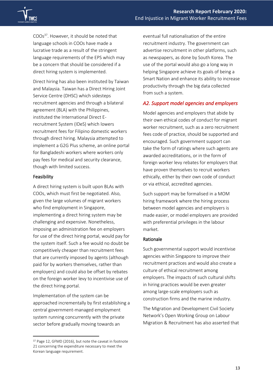COOs<sup>37</sup>. However, it should be noted that language schools in COOs have made a lucrative trade as a result of the stringent language requirements of the EPS which may be a concern that should be considered if a direct hiring system is implemented.

Direct hiring has also been instituted by Taiwan and Malaysia. Taiwan has a Direct Hiring Joint Service Centre (DHSC) which sidesteps recruitment agencies and through a bilateral agreement (BLA) with the Philippines, instituted the International Direct Erecruitment System (IDeS) which lowers recruitment fees for Filipino domestic workers through direct hiring. Malaysia attempted to implement a G2G Plus scheme, an online portal for Bangladeshi workers where workers only pay fees for medical and security clearance, though with limited success.

#### Feasibility

A direct hiring system is built upon BLAs with COOs, which must first be negotiated. Also, given the large volumes of migrant workers who find employment in Singapore, implementing a direct hiring system may be challenging and expensive. Nonetheless, imposing an administration fee on employers for use of the direct hiring portal, would pay for the system itself. Such a fee would no doubt be competitively cheaper than recruitment fees that are currently imposed by agents (although paid for by workers themselves, rather than employers) and could also be offset by rebates on the foreign worker levy to incentivise use of the direct hiring portal.

Implementation of the system can be approached incrementally by first establishing a central government-managed employment system running concurrently with the private sector before gradually moving towards an

eventual full nationalisation of the entire recruitment industry. The government can advertise recruitment in other platforms, such as newspapers, as done by South Korea. The use of the portal would also go a long way in helping Singapore achieve its goals of being a Smart Nation and enhance its ability to increase productivity through the big data collected from such a system.

#### <span id="page-12-0"></span>*A2. Support model agencies and employers*

Model agencies and employers that abide by their own ethical codes of conduct for migrant worker recruitment, such as a zero recruitment fees code of practice, should be supported and encouraged. Such government support can take the form of ratings where such agents are awarded accreditations, or in the form of foreign worker levy rebates for employers that have proven themselves to recruit workers ethically, either by their own code of conduct or via ethical, accredited agencies.

Such support may be formalised in a MOM hiring framework where the hiring process between model agencies and employers is made easier, or model employers are provided with preferential privileges in the labour market.

#### Rationale

Such governmental support would incentivise agencies within Singapore to improve their recruitment practices and would also create a culture of ethical recruitment among employers. The impacts of such cultural shifts in hiring practices would be even greater among large-scale employers such as construction firms and the marine industry.

The Migration and Development Civil Society Network's Open Working Group on Labour Migration & Recruitment has also asserted that

<sup>37</sup> Page 12, GFMD (2016), but note the caveat in footnote 21 concerning the expenditure necessary to meet the Korean language requirement.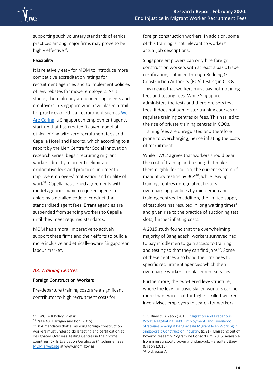

supporting such voluntary standards of ethical practices among major firms may prove to be highly effective<sup>38</sup>.

#### Feasibility

It is relatively easy for MOM to introduce more competitive accreditation ratings for recruitment agencies and to implement policies of levy rebates for model employers. As it stands, there already are pioneering agents and employers in Singapore who have blazed a trail for practices of ethical recruitment such as [We](https://www.wearecaring.com/about/)  [Are Caring,](https://www.wearecaring.com/about/) a Singaporean employment agency start-up that has created its own model of ethical hiring with zero recruitment fees and Capella Hotel and Resorts, which according to a report by the Lien Centre for Social Innovation research series, began recruiting migrant workers directly in order to eliminate exploitative fees and practices, in order to improve employees' motivation and quality of work<sup>39</sup>. Capella has signed agreements with model agencies, which required agents to abide by a detailed code of conduct that standardised agent fees. Errant agencies are suspended from sending workers to Capella until they meet required standards.

MOM has a moral imperative to actively support these firms and their efforts to build a more inclusive and ethically-aware Singaporean labour market.

#### <span id="page-13-0"></span>*A3. Training Centres*

#### Foreign Construction Workers

Pre-departure training costs are a significant contributor to high recruitment costs for

foreign construction workers. In addition, some of this training is not relevant to workers' actual job descriptions.

Singapore employers can only hire foreign construction workers with at least a basic trade certification, obtained through Building & Construction Authority (BCA) testing in COOs. This means that workers must pay both training fees and testing fees. While Singapore administers the tests and therefore sets test fees, it does not administer training courses or regulate training centres or fees. This has led to the rise of private training centres in COOs. Training fees are unregulated and therefore prone to overcharging, hence inflating the costs of recruitment.

While TWC2 agrees that workers should bear the cost of training and testing that makes them eligible for the job, the current system of mandatory testing by BCA<sup>40</sup>, while leaving training centres unregulated, fosters overcharging practices by middlemen and training centres. In addition, the limited supply of test slots has resulted in long waiting times $41$ and given rise to the practice of auctioning test slots, further inflating costs.

A 2015 study found that the overwhelming majority of Bangladeshi workers surveyed had to pay middlemen to gain access to training and testing so that they can find jobs $42$ . Some of these centres also bond their trainees to specific recruitment agencies which then overcharge workers for placement services.

Furthermore, the two-tiered levy structure, where the levy for basic-skilled workers can be more than twice that for higher-skilled workers, incentivises employers to search for workers

<sup>38</sup> OWGLMR Policy Brief #5

<sup>39</sup> Page 48, Harrigan and Koh (2015)

<sup>40</sup> BCA mandates that all aspiring foreign construction workers must undergo skills testing and certification at designated Overseas Testing Centres in their home countries (Skills Evaluation Certificate (K) scheme). See [MOM's website](https://www.mom.gov.sg/passes-and-permits/work-permit-for-foreign-worker/sector-specific-rules/basic-skilled-workers) at www.mom.gov.sg

<sup>41</sup> G. Baey & B. Yeoh (2015)[. Migration and Precarious](http://migratingoutofpoverty.dfid.gov.uk/files/file.php?name=wp26-baey-yeoh-2015-migration-and-precarious-work.pdf&site=354)  [Work: Negotiating Debt, Employment, and Livelihood](http://migratingoutofpoverty.dfid.gov.uk/files/file.php?name=wp26-baey-yeoh-2015-migration-and-precarious-work.pdf&site=354)  [Strategies Amongst Bangladeshi Migrant Men Working in](http://migratingoutofpoverty.dfid.gov.uk/files/file.php?name=wp26-baey-yeoh-2015-migration-and-precarious-work.pdf&site=354)  [Singapore's Construction Industry](http://migratingoutofpoverty.dfid.gov.uk/files/file.php?name=wp26-baey-yeoh-2015-migration-and-precarious-work.pdf&site=354). (p.21). Migrating out of Poverty Research Programme Consortium, 2015. Available from migratingoutofpoverty.dfid.gov.uk. Hereafter, Baey & Yeoh (2015). <sup>42</sup> Ibid, page 7.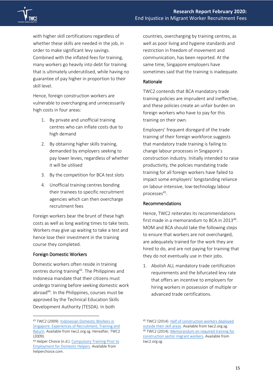with higher skill certifications regardless of whether these skills are needed in the job, in order to make significant levy savings. Combined with the inflated fees for training, many workers go heavily into debt for training that is ultimately underutilised, while having no guarantee of pay higher in proportion to their skill level.

Hence, foreign construction workers are vulnerable to overcharging and unnecessarily high costs in four areas:

- 1. By private and unofficial training centres who can inflate costs due to high demand
- 2. By obtaining higher skills training, demanded by employers seeking to pay lower levies, regardless of whether it will be utilised
- 3. By the competition for BCA test slots
- 4. Unofficial training centres bonding their trainees to specific recruitment agencies which can then overcharge recruitment fees

Foreign workers bear the brunt of these high costs as well as long waiting times to take tests. Workers may give up waiting to take a test and hence lose their investment in the training course they completed.

#### Foreign Domestic Workers

Domestic workers often reside in training centres during training<sup>43</sup>. The Philippines and Indonesia mandate that their citizens must undergo training before seeking domestic work abroad<sup>44</sup>. In the Philippines, courses must be approved by the Technical Education Skills Development Authority (TESDA). In both

countries, overcharging by training centres, as well as poor living and hygiene standards and restriction in freedom of movement and communication, has been reported. At the same time, Singapore employers have sometimes said that the training is inadequate.

#### Rationale

TWC2 contends that BCA mandatory trade training policies are imprudent and ineffective, and these policies create an unfair burden on foreign workers who have to pay for this training on their own.

Employers' frequent disregard of the trade training of their foreign workforce suggests that mandatory trade training is failing to change labour processes in Singapore's construction industry. Initially intended to raise productivity, the policies mandating trade training for all foreign workers have failed to impact some employers' longstanding reliance on labour-intensive, low-technology labour processes<sup>45</sup>.

#### Recommendations

Hence, TWC2 reiterates its recommendations first made in a memorandum to BCA in 2013 $^{46}$ . MOM and BCA should take the following steps to ensure that workers are not overcharged, are adequately trained for the work they are hired to do, and are not paying for training that they do not eventually use in their jobs.

1. Abolish ALL mandatory trade certification requirements and the bifurcated levy rate that offers an incentive to employers for hiring workers in possession of multiple or advanced trade certifications.

<sup>43</sup> TWC2 (2009)[. Indonesian Domestic Workers in](http://twc2.org.sg/wp-content/uploads/2013/09/Indonesian-DWs-in-Singapore1.pdf)  [Singapore: Experiences of Recruitment, Training and](http://twc2.org.sg/wp-content/uploads/2013/09/Indonesian-DWs-in-Singapore1.pdf)  [Return.](http://twc2.org.sg/wp-content/uploads/2013/09/Indonesian-DWs-in-Singapore1.pdf) Available from twc2.org.sg. Hereafter, TWC2 (2009).

<sup>44</sup> Helper Choice (n.d.). Compulsory Training Prior to [Employment for Domestic Helpers.](https://www.helperchoice.com/singapore/tesda-training-domestic-helpers) Available from helperchoice.com.

<sup>45</sup> TWC2 (2014)[. Half of construction workers deployed](http://twc2.org.sg/2014/04/13/half-of-construction-workers-deployed-outside-their-skill-areas)  [outside their skill areas.](http://twc2.org.sg/2014/04/13/half-of-construction-workers-deployed-outside-their-skill-areas) Available from twc2.org.sg. <sup>46</sup> TWC2 (2014)[. Memorandum on required training for](http://twc2.org.sg/wp-content/uploads/2014/06/trainingmemo_feb2013_v2014.pdf)  [construction sector migrant workers.](http://twc2.org.sg/wp-content/uploads/2014/06/trainingmemo_feb2013_v2014.pdf) Available from twc2.org.sg.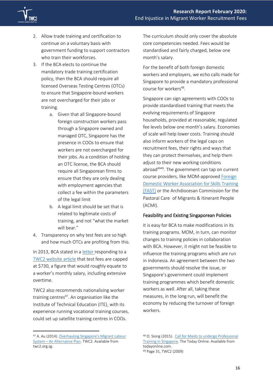- 2. Allow trade training and certification to continue on a voluntary basis with government funding to support contractors who train their workforces.
- 3. If the BCA elects to continue the mandatory trade training certification policy, then the BCA should require all licensed Overseas Testing Centres (OTCs) to ensure that Singapore-bound workers are not overcharged for their jobs or training.
	- a. Given that all Singapore-bound foreign construction workers pass through a Singapore owned and managed OTC, Singapore has the presence in COOs to ensure that workers are not overcharged for their jobs. As a condition of holding an OTC license, the BCA should require all Singaporean firms to ensure that they are only dealing with employment agencies that collect a fee within the parameters of the legal limit
	- b. A legal limit should be set that is related to legitimate costs of training, and not "what the market will bear."
- 4. Transparency on why test fees are so high and how much OTCs are profiting from this.

In 2013, BCA stated in a [letter r](http://twc2.org.sg/wp-content/uploads/2013/10/BCA_re_trainingcentres.pdf)esponding to a [TWC2 website article](http://twc2.org.sg/2013/09/22/training-centres-in-bangladesh-have-become-money-minting-machines/) that test fees are capped at \$730, a figure that would roughly equate to a worker's monthly salary, including extensive overtime.

TWC2 also recommends nationalising worker training centres<sup>47</sup>. An organisation like the Institute of Technical Education (ITE), with its experience running vocational training courses, could set up satellite training centres in COOs.

The curriculum should only cover the absolute core competencies needed. Fees would be standardised and fairly charged, below one month's salary.

For the benefit of both foreign domestic workers and employers, we echo calls made for Singapore to provide a mandatory professional course for workers<sup>48</sup>.

Singapore can sign agreements with COOs to provide standardised training that meets the evolving requirements of Singapore households, provided at reasonable, regulated fee levels below one month's salary. Economies of scale will help lower costs. Training should also inform workers of the legal caps on recruitment fees, their rights and ways that they can protect themselves, and help them adjust to their new working conditions abroad<sup>4949</sup>. The government can tap on current course providers, like MOM-approved [Foreign](http://www.fast.org.sg/objective)  [Domestic Worker Association for Skills Training](http://www.fast.org.sg/objective)  [\(FAST\)](http://www.fast.org.sg/objective) or the Archdiocesan Commission for the Pastoral Care of Migrants & Itinerant People (ACMI).

#### Feasibility and Existing Singaporean Policies

It is easy for BCA to make modifications in its training programs. MOM, in turn, can monitor changes to training policies in collaboration with BCA. However, it might not be feasible to influence the training programs which are run in Indonesia. An agreement between the two governments should resolve the issue, or Singapore's government could implement training programmes which benefit domestic workers as well. After all, taking these measures, in the long run, will benefit the economy by reducing the turnover of foreign workers.

<sup>47</sup> A. Au (2014). [Overhauling Singapore's Migrant La](http://twc2.org.sg/2014/09/15/overhauling-singapores-migrant-labour-system-an-alternative-plan/)bour System - [An Alternative Plan.](http://twc2.org.sg/2014/09/15/overhauling-singapores-migrant-labour-system-an-alternative-plan/) TWC2. Available from twc2.org.sg.

<sup>48</sup> O. Siong (2015). [Call for Maids to undergo Professional](https://www.todayonline.com/singapore/call-maids-undergo-professional-training-singapore)  [Training in Singapore.](https://www.todayonline.com/singapore/call-maids-undergo-professional-training-singapore) The Today Online. Available from todayonline.com. <sup>49</sup> Page 31, TWC2 (2009)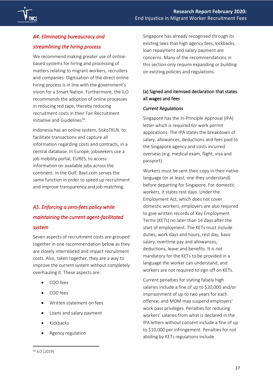

### <span id="page-16-0"></span>*A4. Eliminating bureaucracy and streamlining the hiring process*

We recommend making greater use of onlinebased systems for hiring and processing of matters relating to migrant workers, recruiters and companies. Digitisation of the direct online hiring process is in line with the government's vision for a Smart Nation. Furthermore, the ILO recommends the adoption of online processes in reducing red tape, thereby reducing recruitment costs in their Fair Recruitment Initiative and Guidelines<sup>50</sup>.

Indonesia has an online system, SiskoTKLN, to facilitate transactions and capture all information regarding costs and contracts, in a central database. In Europe, jobseekers use a job mobility portal, EURES, to access information on available jobs across the continent. In the Gulf, Bayt.com serves the same function in order to speed up recruitment and improve transparency and job-matching.

## <span id="page-16-1"></span>*A5. Enforcing a zero-fees policy while maintaining the current agent-facilitated*

### *system*

Seven aspects of recruitment costs are grouped together in one recommendation below as they are closely interrelated and impact recruitment costs. Also, taken together, they are a way to improve the current system without completely overhauling it. These aspects are:

- COO fees
- COD fees
- Written statement on fees
- Loans and salary payment
- Kickbacks
- Agency regulation

<sup>50</sup> ILO (2019).

Singapore has already recognised through its existing laws that high agency fees, kickbacks, loan repayment and salary payment are concerns. Many of the recommendations in this section only require expanding or building on existing policies and regulations.

#### (a) Signed and itemised declaration that states all wages and fees

#### *Current Regulations*

Singapore has the In-Principle Approval (IPA) letter which is required for work permit applications. The IPA states the breakdown of salary, allowances, deductions and fees paid to the Singapore agency and costs incurred overseas (e.g. medical exam, flight, visa and passport).

Workers must be sent their copy in their native language (or at least, one they understand) before departing for Singapore. For domestic workers, it states rest days. Under the Employment Act, which does not cover domestic workers, employers are also required to give written records of Key Employment Terms (KETs) no later than 14 days after the start of employment. The KETs must include duties, work days and hours, rest day, basic salary, overtime pay and allowances, deductions, leave and benefits. It is not mandatory for the KETs to be provided in a language the worker can understand, and workers are not required to sign off on KETs.

Current penalties for stating falsely high salaries include a fine of up to \$20,000 and/or imprisonment of up to two years for each offence, and MOM may suspend employers' work pass privileges. Penalties for reducing workers' salaries from what is declared in the IPA letters without consent include a fine of up to \$10,000 per infringement. Penalties for not abiding by KETs regulations include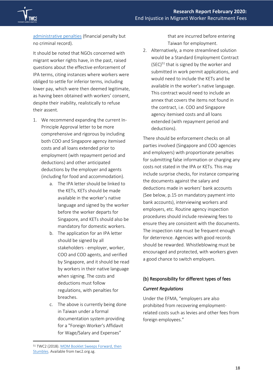

[administrative penalties](https://sso.agc.gov.sg/SL/EmA1968-S149-2016?DocDate=20160401&ValidDate=20160424&TransactionDate=20160424&ProvIds=Sc-.) (financial penalty but no criminal record).

It should be noted that NGOs concerned with migrant worker rights have, in the past, raised questions about the effective enforcement of IPA terms, citing instances where workers were obliged to settle for inferior terms, including lower pay, which were then deemed legitimate, as having been obtained with workers' consent, despite their inability, realistically to refuse their assent.

- 1. We recommend expanding the current In-Principle Approval letter to be more comprehensive and rigorous by including both COO and Singapore agency itemised costs and all loans extended prior to employment (with repayment period and deductions) and other anticipated deductions by the employer and agents (including for food and accommodation).
	- a. The IPA letter should be linked to the KETs, KETs should be made available in the worker's native language and signed by the worker before the worker departs for Singapore, and KETs should also be mandatory for domestic workers.
	- b. The application for an IPA letter should be signed by all stakeholders - employer, worker, COO and COD agents, and verified by Singapore, and it should be read by workers in their native language when signing. The costs and deductions must follow regulations, with penalties for breaches.
	- c. The above is currently being done in Taiwan under a formal documentation system providing for a "Foreign Worker's Affidavit for Wage/Salary and Expenses"

that are incurred before entering Taiwan for employment.

2. Alternatively, a more streamlined solution would be a Standard Employment Contract  $(SEC)^{51}$  that is signed by the worker and submitted in work permit applications, and would need to include the KETs and be available in the worker's native language. This contract would need to include an annex that covers the items not found in the contract, i.e. COO and Singapore agency itemised costs and all loans extended (with repayment period and deductions).

There should be enforcement checks on all parties involved (Singapore and COO agencies and employers) with proportionate penalties for submitting false information or charging any costs not stated in the IPA or KETs. This may include surprise checks, for instance comparing the documents against the salary and deductions made in workers' bank accounts (See below, p.15 on mandatory payment into bank accounts), interviewing workers and employers, etc. Routine agency inspection procedures should include reviewing fees to ensure they are consistent with the documents. The inspection rate must be frequent enough for deterrence. Agencies with good records should be rewarded. Whistleblowing must be encouraged and protected, with workers given a good chance to switch employers.

#### (b) Responsibility for different types of fees

#### *Current Regulations*

Under the EFMA, "employers are also prohibited from recovering employmentrelated costs such as levies and other fees from foreign employees."

<sup>51</sup> TWC2 (2018)[. MOM Booklet Sweeps Forward, then](http://twc2.org.sg/2018/01/19/mom-booklet-sweeps-forward-then-stumbles/)  [Stumbles.](http://twc2.org.sg/2018/01/19/mom-booklet-sweeps-forward-then-stumbles/) Available from twc2.org.sg.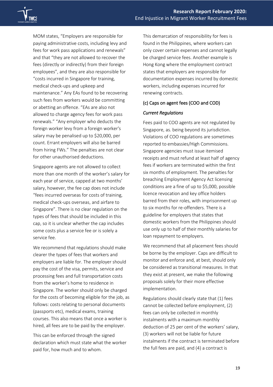MOM states, "Employers are responsible for paying administrative costs, including levy and fees for work pass applications and renewals" and that "they are not allowed to recover the fees (directly or indirectly) from their foreign employees", and they are also responsible for "costs incurred in Singapore for training, medical check-ups and upkeep and maintenance." Any EAs found to be recovering such fees from workers would be committing or abetting an offence. "EAs are also not allowed to charge agency fees for work pass renewals." "Any employer who deducts the foreign worker levy from a foreign worker's salary may be penalised up to \$20,000, per count. Errant employers will also be barred from hiring FWs." The penalties are not clear for other unauthorised deductions.

Singapore agents are not allowed to collect more than one month of the worker's salary for each year of service, capped at two months' salary, however, the fee cap does not include "fees incurred overseas for costs of training, medical check-ups overseas, and airfare to Singapore". There is no clear regulation on the types of fees that should be included in this cap, so it is unclear whether the cap includes some costs plus a service fee or is solely a service fee.

We recommend that regulations should make clearer the types of fees that workers and employers are liable for. The employer should pay the cost of the visa, permits, service and processing fees and full transportation costs from the worker's home to residence in Singapore. The worker should only be charged for the costs of becoming eligible for the job, as follows: costs relating to personal documents (passports etc), medical exams, training courses. This also means that once a worker is hired, all fees are to be paid by the employer.

This can be enforced through the signed declaration which must state what the worker paid for, how much and to whom.

This demarcation of responsibility for fees is found in the Philippines, where workers can only cover certain expenses and cannot legally be charged service fees. Another example is Hong Kong where the employment contract states that employers are responsible for documentation expenses incurred by domestic workers, including expenses incurred for renewing contracts.

#### (c) Caps on agent fees (COO and COD)

#### *Current Regulations*

Fees paid to COO agents are not regulated by Singapore, as. being beyond its jurisdiction. Violations of COO regulations are sometimes reported to embassies/High Commissions. Singapore agencies must issue itemised receipts and must refund at least half of agency fees if workers are terminated within the first six months of employment. The penalties for breaching Employment Agency Act licensing conditions are a fine of up to \$5,000, possible licence revocation and key office holders barred from their roles, with imprisonment up to six months for re-offenders. There is a guideline for employers that states that domestic workers from the Philippines should use only up to half of their monthly salaries for loan repayment to employers.

We recommend that all placement fees should be borne by the employer. Caps are difficult to monitor and enforce and, at best, should only be considered as transitional measures. In that they exist at present, we make the following proposals solely for their more effective implementation.

Regulations should clearly state that (1) fees cannot be collected before employment, (2) fees can only be collected in monthly instalments with a maximum monthly deduction of 25 per cent of the workers' salary, (3) workers will not be liable for future instalments if the contract is terminated before the full fees are paid, and (4) a contract is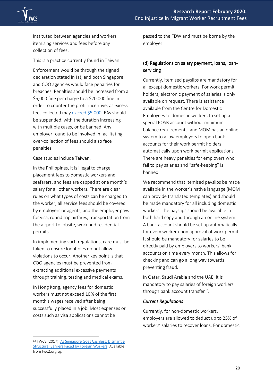instituted between agencies and workers itemising services and fees before any collection of fees.

This is a practice currently found in Taiwan.

Enforcement would be through the signed declaration stated in (a), and both Singapore and COO agencies would face penalties for breaches. Penalties should be increased from a \$5,000 fine per charge to a \$20,000 fine in order to counter the profit incentive, as excess fees collected may [exceed \\$5,000.](http://www.mom.gov.sg/newsroom/press-releases/2015/1124-career-central-fined-6000) EAs should be suspended, with the duration increasing with multiple cases, or be banned. Any employer found to be involved in facilitating over-collection of fees should also face penalties.

Case studies include Taiwan.

In the Philippines, it is illegal to charge placement fees to domestic workers and seafarers, and fees are capped at one month's salary for all other workers. There are clear rules on what types of costs can be charged to the worker, all service fees should be covered by employers or agents, and the employer pays for visa, round trip airfares, transportation from the airport to jobsite, work and residential permits.

In implementing such regulations, care must be taken to ensure loopholes do not allow violations to occur. Another key point is that COO agencies must be prevented from extracting additional excessive payments through training, testing and medical exams.

In Hong Kong, agency fees for domestic workers must not exceed 10% of the first month's wages received after being successfully placed in a job. Most expenses or costs such as visa applications cannot be

<sup>52</sup> TWC2 (2017)[. As Singapore Goes Cashless, Dismantle](http://twc2.org.sg/2017/10/15/as-singapore-goes-cashless-dismantle-structural-barriers-faced-by-foreign-workers/)  [Structural Barriers Faced by Foreign Workers.](http://twc2.org.sg/2017/10/15/as-singapore-goes-cashless-dismantle-structural-barriers-faced-by-foreign-workers/) Available from twc2.org.sg.

passed to the FDW and must be borne by the employer.

#### (d) Regulations on salary payment, loans, loanservicing

Currently, itemised payslips are mandatory for all except domestic workers. For work permit holders, electronic payment of salaries is only available on request. There is assistance available from the Centre for Domestic Employees to domestic workers to set up a special POSB account without minimum balance requirements, and MOM has an online system to allow employers to open bank accounts for their work permit holders automatically upon work permit applications. There are heavy penalties for employers who fail to pay salaries and "safe-keeping" is banned.

We recommend that itemised payslips be made available in the worker's native language (MOM can provide translated templates) and should be made mandatory for all including domestic workers. The payslips should be available in both hard copy and through an online system. A bank account should be set up automatically for every worker upon approval of work permit. It should be mandatory for salaries to be directly paid by employers to workers' bank accounts on time every month. This allows for checking and can go a long way towards preventing fraud.

In Qatar, Saudi Arabia and the UAE, it is mandatory to pay salaries of foreign workers through bank account transfer<sup>52</sup>.

#### *Current Regulations*

Currently, for non-domestic workers, employers are allowed to deduct up to 25% of workers' salaries to recover loans. For domestic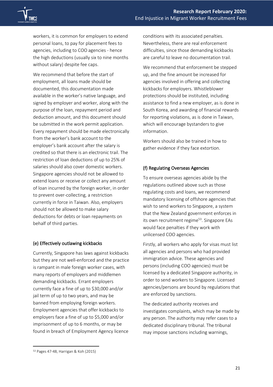workers, it is common for employers to extend personal loans, to pay for placement fees to agencies, including to COO agencies - hence the high deductions (usually six to nine months without salary) despite fee caps.

We recommend that before the start of employment, all loans made should be documented, this documentation made available in the worker's native language, and signed by employer and worker, along with the purpose of the loan, repayment period and deduction amount, and this document should be submitted in the work permit application. Every repayment should be made electronically from the worker's bank account to the employer's bank account after the salary is credited so that there is an electronic trail. The restriction of loan deductions of up to 25% of salaries should also cover domestic workers. Singapore agencies should not be allowed to extend loans or receive or collect any amount of loan incurred by the foreign worker, in order to prevent over-collecting, a restriction currently in force in Taiwan. Also, employers should not be allowed to make salary deductions for debts or loan repayments on behalf of third parties.

#### (e) Effectively outlawing kickbacks

Currently, Singapore has laws against kickbacks but they are not well-enforced and the practice is rampant in male foreign worker cases, with many reports of employers and middlemen demanding kickbacks. Errant employers currently face a fine of up to \$30,000 and/or jail term of up to two years, and may be banned from employing foreign workers. Employment agencies that offer kickbacks to employers face a fine of up to \$5,000 and/or imprisonment of up to 6 months, or may be found in breach of Employment Agency licence

conditions with its associated penalties. Nevertheless, there are real enforcement difficulties, since those demanding kickbacks are careful to leave no documentation trail.

We recommend that enforcement be stepped up, and the fine amount be increased for agencies involved in offering and collecting kickbacks for employers. Whistleblower protections should be instituted, including assistance to find a new employer, as is done in South Korea, and awarding of financial rewards for reporting violations, as is done in Taiwan, which will encourage bystanders to give information.

Workers should also be trained in how to gather evidence if they face extortion.

#### (f) Regulating Overseas Agencies

To ensure overseas agencies abide by the regulations outlined above such as those regulating costs and loans, we recommend mandatory licensing of offshore agencies that wish to send workers to Singapore, a system that the New Zealand government enforces in its own recruitment regime<sup>53</sup>. Singapore EAs would face penalties if they work with unlicensed COO agencies.

Firstly, all workers who apply for visas must list all agencies and persons who had provided immigration advice. These agencies and persons (including COO agencies) must be licensed by a dedicated Singapore authority, in order to send workers to Singapore. Licensed agencies/persons are bound by regulations that are enforced by sanctions.

The dedicated authority receives and investigates complaints, which may be made by any person. The authority may refer cases to a dedicated disciplinary tribunal. The tribunal may impose sanctions including warnings,

<sup>53</sup> Pages 47-48, Harrigan & Koh (2015)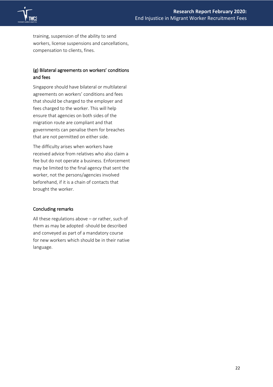

training, suspension of the ability to send workers, license suspensions and cancellations, compensation to clients, fines.

#### (g) Bilateral agreements on workers' conditions and fees

Singapore should have bilateral or multilateral agreements on workers' conditions and fees that should be charged to the employer and fees charged to the worker. This will help ensure that agencies on both sides of the migration route are compliant and that governments can penalise them for breaches that are not permitted on either side.

The difficulty arises when workers have received advice from relatives who also claim a fee but do not operate a business. Enforcement may be limited to the final agency that sent the worker, not the persons/agencies involved beforehand, if it is a chain of contacts that brought the worker.

#### Concluding remarks

All these regulations above – or rather, such of them as may be adopted -should be described and conveyed as part of a mandatory course for new workers which should be in their native language.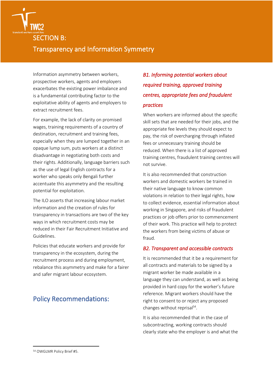

### <span id="page-22-0"></span>Transparency and Information Symmetry

Information asymmetry between workers, prospective workers, agents and employers exacerbates the existing power imbalance and is a fundamental contributing factor to the exploitative ability of agents and employers to extract recruitment fees.

For example, the lack of clarity on promised wages, training requirements of a country of destination, recruitment and training fees, especially when they are lumped together in an opaque lump sum, puts workers at a distinct disadvantage in negotiating both costs and their rights. Additionally, language barriers such as the use of legal English contracts for a worker who speaks only Bengali further accentuate this asymmetry and the resulting potential for exploitation.

The ILO asserts that increasing labour market information and the creation of rules for transparency in transactions are two of the key ways in which recruitment costs may be reduced in their Fair Recruitment Initiative and Guidelines.

Policies that educate workers and provide for transparency in the ecosystem, during the recruitment process and during employment, rebalance this asymmetry and make for a fairer and safer migrant labour ecosystem.

### Policy Recommendations:

### <span id="page-22-1"></span>*B1. Informing potential workers about required training, approved training centres, appropriate fees and fraudulent practices*

When workers are informed about the specific skill sets that are needed for their jobs, and the appropriate fee levels they should expect to pay, the risk of overcharging through inflated fees or unnecessary training should be reduced. When there is a list of approved training centres, fraudulent training centres will not survive.

It is also recommended that construction workers and domestic workers be trained in their native language to know common violations in relation to their legal rights, how to collect evidence, essential information about working in Singapore, and risks of fraudulent practices or job offers prior to commencement of their work. This practice will help to protect the workers from being victims of abuse or fraud.

#### <span id="page-22-2"></span>*B2. Transparent and accessible contracts*

It is recommended that it be a requirement for all contracts and materials to be signed by a migrant worker be made available in a language they can understand, as well as being provided in hard copy for the worker's future reference. Migrant workers should have the right to consent to or reject any proposed changes without reprisal<sup>54</sup>.

It is also recommended that in the case of subcontracting, working contracts should clearly state who the employer is and what the

<sup>54</sup> OWGLMR Policy Brief #5.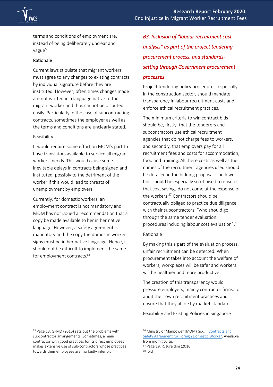

terms and conditions of employment are, instead of being deliberately unclear and vague<sup>55</sup>.

#### Rationale

Current laws stipulate that migrant workers must agree to any changes to existing contracts by individual signature before they are instituted. However, often times changes made are not written in a language native to the migrant worker and thus cannot be disputed easily. Particularly in the case of subcontracting contracts, sometimes the employer as well as the terms and conditions are unclearly stated.

#### Feasibility

It would require some effort on MOM's part to have translators available to service all migrant workers' needs. This would cause some inevitable delays in contracts being signed and instituted, possibly to the detriment of the worker if this would lead to threats of unemployment by employers.

Currently, for domestic workers, an employment contract is not mandatory and MOM has not issued a recommendation that a copy be made available to her in her native language. However, a safety agreement is mandatory and the copy the domestic worker signs must be in her native language. Hence, it should not be difficult to implement the same for employment contracts.<sup>56</sup>

### <span id="page-23-0"></span>*B3. Inclusion of "labour recruitment cost analysis" as part of the project tendering procurement process, and standardssetting through Government procurement processes*

Project tendering policy procedures, especially in the construction sector, should mandate transparency in labour recruitment costs and enforce ethical recruitment practices.

The minimum criteria to win contract bids should be, firstly, that the tenderers and subcontractors use ethical recruitment agencies that do not charge fees to workers, and secondly, that employers pay for all recruitment fees and costs for accommodation, food and training. All these costs as well as the names of the recruitment agencies used should be detailed in the bidding proposal. The lowest bids should be especially scrutinised to ensure that cost savings do not come at the expense of the workers.<sup>57</sup> Contractors should be contractually obliged to practice due diligence with their subcontractors, "who should go through the same tender evaluation procedures including labour cost evaluation".<sup>58</sup>

#### Rationale

By making this a part of the evaluation process, unfair recruitment can be detected. When procurement takes into account the welfare of workers, workplaces will be safer and workers will be healthier and more productive.

The creation of this transparency would pressure employers, mainly contractor firms, to audit their own recruitment practices and ensure that they abide by market standards.

Feasibility and Existing Policies in Singapore

<sup>58</sup> Ibid

<sup>55</sup> Page 13, GFMD (2016) sets out the problems with subcontractor arrangements. Sometimes, a main contractor with good practices for its direct employees makes extensive use of sub-contractors whose practices towards their employees are markedly inferior.

<sup>56</sup> Ministry of Manpower (MOM) (n.d.)[. Contracts](http://www.mom.gov.sg/passes-and-permits/work-permit-for-foreign-domestic-worker/employers-guide/contracts-and-safety-agreement) and [Safety Agreement for Foreign Domestic Worker.](http://www.mom.gov.sg/passes-and-permits/work-permit-for-foreign-domestic-worker/employers-guide/contracts-and-safety-agreement) Available from mom.gov.sg.

<sup>57</sup> Page 19, R. Jureidini (2016).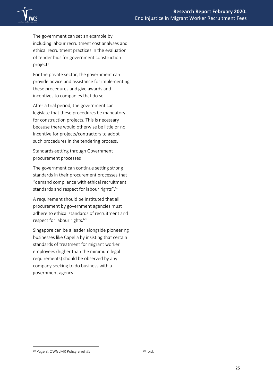

The government can set an example by including labour recruitment cost analyses and ethical recruitment practices in the evaluation of tender bids for government construction projects.

For the private sector, the government can provide advice and assistance for implementing these procedures and give awards and incentives to companies that do so.

After a trial period, the government can legislate that these procedures be mandatory for construction projects. This is necessary because there would otherwise be little or no incentive for projects/contractors to adopt such procedures in the tendering process.

Standards-setting through Government procurement processes

The government can continue setting strong standards in their procurement processes that "demand compliance with ethical recruitment standards and respect for labour rights".<sup>59</sup>

A requirement should be instituted that all procurement by government agencies must adhere to ethical standards of recruitment and respect for labour rights.<sup>60</sup>

Singapore can be a leader alongside pioneering businesses like Capella by insisting that certain standards of treatment for migrant worker employees (higher than the minimum legal requirements) should be observed by any company seeking to do business with a government agency.

<sup>&</sup>lt;sup>59</sup> Page 8, OWGLMR Policy Brief #5. 60 Ibid.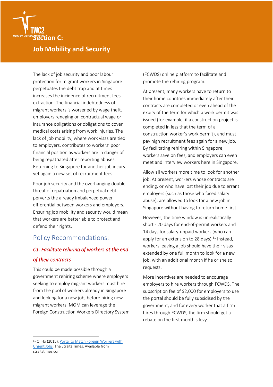

### <span id="page-25-0"></span>**Job Mobility and Security**

The lack of job security and poor labour protection for migrant workers in Singapore perpetuates the debt trap and at times increases the incidence of recruitment fees extraction. The financial indebtedness of migrant workers is worsened by wage theft, employers reneging on contractual wage or insurance obligations or obligations to cover medical costs arising from work injuries. The lack of job mobility, where work visas are tied to employers, contributes to workers' poor financial position as workers are in danger of being repatriated after reporting abuses. Returning to Singapore for another job incurs yet again a new set of recruitment fees.

Poor job security and the overhanging double threat of repatriation and perpetual debt perverts the already imbalanced power differential between workers and employers. Ensuring job mobility and security would mean that workers are better able to protect and defend their rights.

### Policy Recommendations:

### <span id="page-25-1"></span>*C1. Facilitate rehiring of workers at the end of their contracts*

This could be made possible through a government rehiring scheme where employers seeking to employ migrant workers must hire from the pool of workers already in Singapore and looking for a new job, before hiring new migrant workers. MOM can leverage the Foreign Construction Workers Directory System (FCWDS) online platform to facilitate and promote the rehiring program.

At present, many workers have to return to their home countries immediately after their contracts are completed or even ahead of the expiry of the term for which a work permit was issued (for example, if a construction project is completed in less that the term of a construction worker's work permit), and must pay high recruitment fees again for a new job. By facilitating rehiring within Singapore, workers save on fees, and employers can even meet and interview workers here in Singapore.

Allow all workers more time to look for another job. At present, workers whose contracts are ending, or who have lost their job due to errant employers (such as those who faced salary abuse), are allowed to look for a new job in Singapore without having to return home first.

However, the time window is unrealistically short - 20 days for end-of-permit workers and 14 days for salary-unpaid workers (who can apply for an extension to 28 days). $61$  Instead, workers leaving a job should have their visas extended by one full month to look for a new job, with an additional month if he or she so requests.

More incentives are needed to encourage employers to hire workers through FCWDS. The subscription fee of \$2,000 for employers to use the portal should be fully subsidised by the government, and for every worker that a firm hires through FCWDS, the firm should get a rebate on the first month's levy.

<sup>61</sup> O. Ho (2015)[. Portal to Match Foreign Workers with](http://www.straitstimes.com/singapore/portal-to-match-foreign-workers-with-urgent-jobs)  [Urgent Jobs.](http://www.straitstimes.com/singapore/portal-to-match-foreign-workers-with-urgent-jobs) The Straits Times. Available from straitstimes.com.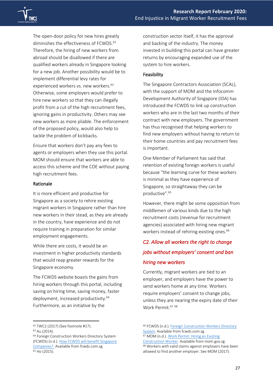The open-door policy for new hires greatly diminishes the effectiveness of FCWDS.<sup>62</sup> Therefore, the hiring of new workers from abroad should be disallowed if there are qualified workers already in Singapore looking for a new job. Another possibility would be to implement differential levy rates for experienced workers vs. new workers.<sup>63</sup> Otherwise, some employers would prefer to hire new workers so that they can illegally profit from a cut of the high recruitment fees, ignoring gains in productivity. Others may see new workers as more pliable. The enforcement of the proposed policy, would also help to tackle the problem of kickbacks.

Ensure that workers don't pay any fees to agents or employers when they use this portal. MOM should ensure that workers are able to access this scheme and the COE without paying high recruitment fees.

#### Rationale

It is more efficient and productive for Singapore as a society to rehire existing migrant workers in Singapore rather than hire new workers in their stead, as they are already in the country, have experience and do not require training in preparation for similar employment engagements.

While there are costs, it would be an investment in higher productivity standards that would reap greater rewards for the Singapore economy.

The FCWDS website boasts the gains from hiring workers through this portal, including saving on hiring time, saving money, faster deployment, increased productivity.<sup>64</sup> Furthermore, as an initiative by the

construction sector itself, it has the approval and backing of the industry. The money invested in building this portal can have greater returns by encouraging expanded use of the system to hire workers.

#### Feasibility

The Singapore Contractors Association (SCAL), with the support of MOM and the Infocomm Development Authority of Singapore (IDA) has introduced the FCWDS to link up construction workers who are in the last two months of their contract with new employers. The government has thus recognised that helping workers to find new employers without having to return to their home countries and pay recruitment fees is important.

One Member of Parliament has said that retention of existing foreign workers is useful because "the learning curve for these workers is minimal as they have experience of Singapore, so straightaway they can be productive".<sup>65</sup>

However, there might be some opposition from middlemen of various kinds due to the high recruitment costs (revenue for recruitment agencies) associated with hiring new migrant workers instead of rehiring existing ones.<sup>66</sup>

### <span id="page-26-0"></span>*C2. Allow all workers the right to change jobs without employers' consent and ban hiring new workers*

Currently, migrant workers are tied to an employer, and employers have the power to send workers home at any time. Workers require employers' consent to change jobs, unless they are nearing the expiry date of their Work Permit.<sup>67 68</sup>

[Construction Worker.](https://www.mom.gov.sg/passes-and-permits/work-permit-for-foreign-worker/sector-specific-rules/hiring-existing-worker-in-construction-sector) Available from mom.gov.sg. <sup>68</sup> Workers with valid claims against employers have been allowed to find another employer. See MOM (2017).

<sup>62</sup> TWC2 (2017) (See footnote #17).

<sup>63</sup> Au (2014).

<sup>&</sup>lt;sup>64</sup> Foreign Construction Workers Directory System (FCWDS) (n.d.)[. How FCWDS will benefit Singapore](http://www.fcwds.com.sg/for_companies.html)  [Companies?.](http://www.fcwds.com.sg/for_companies.html) Available from fcwds.com.sg. <sup>65</sup> Ho (2015).

<sup>66</sup> FCWDS (n.d.)[. Foreign Construction Workers Directory](http://www.fcwds.com.sg/)  [System.](http://www.fcwds.com.sg/) Available from fcwds.com.sg. <sup>67</sup> MOM (n.d.)[. Work Permit: Hiring an Existing](https://www.mom.gov.sg/passes-and-permits/work-permit-for-foreign-worker/sector-specific-rules/hiring-existing-worker-in-construction-sector)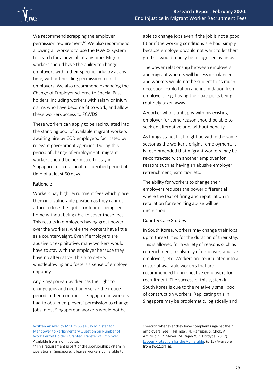We recommend scrapping the employer permission requirement.<sup>69</sup> We also recommend allowing all workers to use the FCWDS system to search for a new job at any time. Migrant workers should have the ability to change employers within their specific industry at any time, without needing permission from their employers. We also recommend expanding the Change of Employer scheme to Special Pass holders, including workers with salary or injury claims who have become fit to work, and allow these workers access to FCWDS.

These workers can apply to be recirculated into the standing pool of available migrant workers awaiting hire by COD employers, facilitated by relevant government agencies. During this period of change of employment, migrant workers should be permitted to stay in Singapore for a reasonable, specified period of time of at least 60 days.

#### Rationale

Workers pay high recruitment fees which place them in a vulnerable position as they cannot afford to lose their jobs for fear of being sent home without being able to cover these fees. This results in employers having great power over the workers, while the workers have little as a counterweight. Even if employers are abusive or exploitative, many workers would have to stay with the employer because they have no alternative. This also deters whistleblowing and fosters a sense of employer impunity.

Any Singaporean worker has the right to change jobs and need only serve the notice period in their contract. If Singaporean workers had to obtain employers' permission to change jobs, most Singaporean workers would not be

able to change jobs even if the job is not a good fit or if the working conditions are bad, simply because employers would not want to let them go. This would readily be recognised as unjust.

The power relationship between employers and migrant workers will be less imbalanced, and workers would not be subject to as much deception, exploitation and intimidation from employers, e.g. having their passports being routinely taken away.

A worker who is unhappy with his existing employer for some reason should be able to seek an alternative one, without penalty.

As things stand, that might be within the same sector as the worker's original employment. It is recommended that migrant workers may be re-contracted with another employer for reasons such as having an abusive employer, retrenchment, extortion etc.

The ability for workers to change their employers reduces the power differential where the fear of firing and repatriation in retaliation for reporting abuse will be diminished.

#### Country Case Studies

In South Korea, workers may change their jobs up to three times for the duration of their stay. This is allowed for a variety of reasons such as retrenchment, insolvency of employer, abusive employers, etc. Workers are recirculated into a roster of available workers that are recommended to prospective employers for recruitment. The success of this system in South Korea is due to the relatively small pool of construction workers. Replicating this in Singapore may be problematic, logistically and

[Written Answer by Mr Lim Swee Say Minister for](https://www.mom.gov.sg/newsroom/parliament-questions-and-replies/2017/1106-written-answer-by-mr-lim-swee-say-minister-for-manpower-to-parliamentary-question-on-number-of-work-permit-holders-granted-transfer-of-employer)  [Manpower to Parliamentary Question on Number of](https://www.mom.gov.sg/newsroom/parliament-questions-and-replies/2017/1106-written-answer-by-mr-lim-swee-say-minister-for-manpower-to-parliamentary-question-on-number-of-work-permit-holders-granted-transfer-of-employer)  [Work Permit Holders Granted Transfer of Employer.](https://www.mom.gov.sg/newsroom/parliament-questions-and-replies/2017/1106-written-answer-by-mr-lim-swee-say-minister-for-manpower-to-parliamentary-question-on-number-of-work-permit-holders-granted-transfer-of-employer)  Available from mom.gov.sg.

<sup>69</sup> This requirement is part of the sponsorship system in operation in Singapore. It leaves workers vulnerable to

coercion whenever they have complaints against their employers. See T. Fillinger, N. Harrigan, S. Chok, A. Amirrudin, P. Meyer, M. Rajah & D. Fordyce (2017). [Labour Protection for the Vulnerable.](http://twc2.org.sg/wp-content/uploads/2017/06/labour_protection_for_the_vulnerable.pdfhttp:/ink.library.smu.edu.sg/cgi/viewcontent.cgi?article=3474&context=soss_research) (p.12) Available from twc2.org.sg.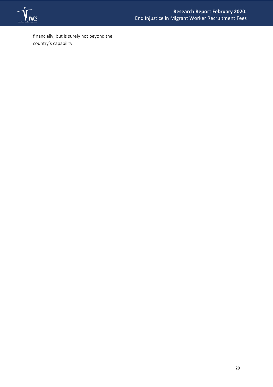

financially, but is surely not beyond the country's capability.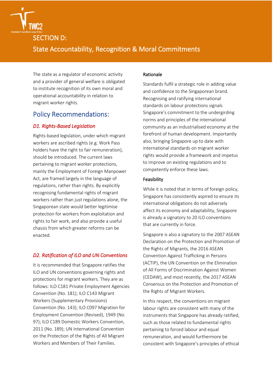

<span id="page-29-0"></span>State Accountability, Recognition & Moral Commitments

The state as a regulator of economic activity and a provider of general welfare is obligated to institute recognition of its own moral and operational accountability in relation to migrant worker rights.

### Policy Recommendations:

#### <span id="page-29-1"></span>*D1. Rights-Based Legislation*

Rights-based legislation, under which migrant workers are ascribed rights (e.g. Work Pass holders have the right to fair remuneration), should be introduced. The current laws pertaining to migrant worker protections, mainly the Employment of Foreign Manpower Act, are framed largely in the language of regulations, rather than rights. By explicitly recognising fundamental rights of migrant workers rather than just regulations alone, the Singaporean state would better legitimise protection for workers from exploitation and rights to fair work, and also provide a useful chassis from which greater reforms can be enacted.

#### <span id="page-29-2"></span>*D2. Ratification of ILO and UN Conventions*

It is recommended that Singapore ratifies the ILO and UN conventions governing rights and protections for migrant workers. They are as follows: ILO C181 Private Employment Agencies Convention (No. 181); ILO C143 Migrant Workers (Supplementary Provisions) Convention (No. 143); ILO C097 Migration for Employment Convention (Revised), 1949 (No. 97); ILO C189 Domestic Workers Convention, 2011 (No. 189); UN International Convention on the Protection of the Rights of All Migrant Workers and Members of Their Families.

#### Rationale

Standards fulfil a strategic role in adding value and confidence to the Singaporean brand. Recognising and ratifying international standards on labour protections signals Singapore's commitment to the undergirding norms and principles of the international community as an industrialised economy at the forefront of human development. Importantly also, bringing Singapore up to date with international standards on migrant worker rights would provide a framework and impetus to improve on existing regulations and to competently enforce these laws.

#### Feasibility

While it is noted that in terms of foreign policy, Singapore has consistently aspired to ensure its international obligations do not adversely affect its economy and adaptability, Singapore is already a signatory to 20 ILO conventions that are currently in force.

Singapore is also a signatory to the 2007 ASEAN Declaration on the Protection and Promotion of the Rights of Migrants, the 2016 ASEAN Convention Against Trafficking in Persons (ACTIP), the UN Convention on the Elimination of All Forms of Discrimination Against Women (CEDAW), and most recently, the 2017 ASEAN Consensus on the Protection and Promotion of the Rights of Migrant Workers.

In this respect, the conventions on migrant labour rights are consistent with many of the instruments that Singapore has already ratified, such as those related to fundamental rights pertaining to forced labour and equal remuneration, and would furthermore be consistent with Singapore's principles of ethical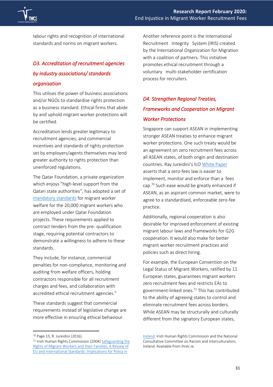

labour rights and recognition of international standards and norms on migrant workers.

### <span id="page-30-0"></span>*D3. Accreditation of recruitment agencies by industry associations/ standards organisation*

This utilises the power of business associations and/or NGOs to standardise rights protection as a business standard. Ethical firms that abide by and uphold migrant worker protections will be certified.

Accreditation lends greater legitimacy to recruitment agencies, and commercial incentives and standards of rights protection set by employers/agents themselves may lend greater authority to rights protection than unenforced regulations.

The Qatar Foundation, a private organization which enjoys "high-level support from the Qatari state authorities", has adopted a set of [mandatory standards](https://www.qf.org.qa/app/media/2379) for migrant worker welfare for the 20,000 migrant workers who are employed under Qatar Foundation projects. These requirements applied to contract tenders from the pre- qualification stage, requiring potential contractors to demonstrate a willingness to adhere to these standards.

They include, for instance, commercial penalties for non-compliance, monitoring and auditing from welfare officers, holding contractors responsible for all recruitment charges and fees, and collaboration with accredited ethical recruitment agencies."

These standards suggest that commercial requirements instead of legislative change are more effective in ensuring ethical behaviour.

Another reference point is the International Recruitment Integrity System (IRIS) created by the International Organization for Migration with a coalition of partners. This initiative promotes ethical recruitment through a voluntary multi-stakeholder certification process for recruiters.

### <span id="page-30-1"></span>*D4. Strengthen Regional Treaties, Frameworks and Cooperation on Migrant Worker Protections*

Singapore can support ASEAN in implementing stronger ASEAN treaties to enhance migrant worker protections. One such treaty would be an agreement on zero recruitment fees across all ASEAN states, of both origin and destination countries. Ray Jureidini's ILO [White Paper](http://www.ilo.org/wcmsp5/groups/public/---arabstates/---ro-beirut/documents/publication/wcms_519913.pdf) asserts that a zero-fees law is easier to implement, monitor and enforce than a fees cap.<sup>70</sup> Such ease would be greatly enhanced if ASEAN, as an aspirant common market, were to agree to a standardised, enforceable zero-fee practice.

Additionally, regional cooperation is also desirable for improved enforcement of existing migrant labour laws and frameworks for G2G cooperation. It would also make for better migrant worker recruitment practices and policies such as direct hiring.

For example, the European Convention on the Legal Status of Migrant Workers, ratified by 11 European states, guarantees migrant workers zero recruitment fees and restricts EAs to government-linked ones. $71$  This has contributed to the ability of agreeing states to control and eliminate recruitment fees across borders. While ASEAN may be structurally and culturally different from the signatory European states,

<sup>70</sup> Page 15, R. Jureidini (2016).

<sup>71</sup> Irish Human Rights Commission (2004) Safeguarding the [Rights of Migrant Workers and their Families: A Review of](https://www.ihrec.ie/app/uploads/download/pdf/safeguarding_rights_migrants.pdf) [EU and International Standards: Implications for Policy in](https://www.ihrec.ie/app/uploads/download/pdf/safeguarding_rights_migrants.pdf) 

[Ireland.](https://www.ihrec.ie/app/uploads/download/pdf/safeguarding_rights_migrants.pdf) Irish Human Rights Commission and the National Consultative Committee on Racism and Interculturalism, Ireland. Available from ihrec.ie.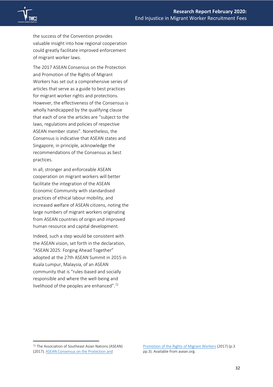

the success of the Convention provides valuable insight into how regional cooperation could greatly facilitate improved enforcement of migrant worker laws.

The 2017 ASEAN Consensus on the Protection and Promotion of the Rights of Migrant Workers has set out a comprehensive series of articles that serve as a guide to best practices for migrant worker rights and protections. However, the effectiveness of the Consensus is wholly handicapped by the qualifying clause that each of one the articles are "subject to the laws, regulations and policies of respective ASEAN member states". Nonetheless, the Consensus is indicative that ASEAN states and Singapore, in principle, acknowledge the recommendations of the Consensus as best practices.

In all, stronger and enforceable ASEAN cooperation on migrant workers will better facilitate the integration of the ASEAN Economic Community with standardised practices of ethical labour mobility, and increased welfare of ASEAN citizens, noting the large numbers of migrant workers originating from ASEAN countries of origin and improved human resource and capital development.

Indeed, such a step would be consistent with the ASEAN vision, set forth in the declaration, "ASEAN 2025: Forging Ahead Together" adopted at the 27th ASEAN Summit in 2015 in Kuala Lumpur, Malaysia, of an ASEAN community that is "rules-based and socially responsible and where the well-being and livelihood of the peoples are enhanced".<sup>72</sup>

<sup>72</sup> The Association of Southeast Asian Nations (ASEAN) (2017). [ASEAN Consensus on the Protection and](https://asean.org/storage/2019/01/3.-March-2018-ASEAN-Consensus-on-the-Protection-and-Promotion-of-the-Rights-of-Migrant-Workers.pdf) 

[Promotion of the Rights of Migrant Workers](https://asean.org/storage/2019/01/3.-March-2018-ASEAN-Consensus-on-the-Protection-and-Promotion-of-the-Rights-of-Migrant-Workers.pdf) (2017) (p.3 pp.3). Available from asean.org.